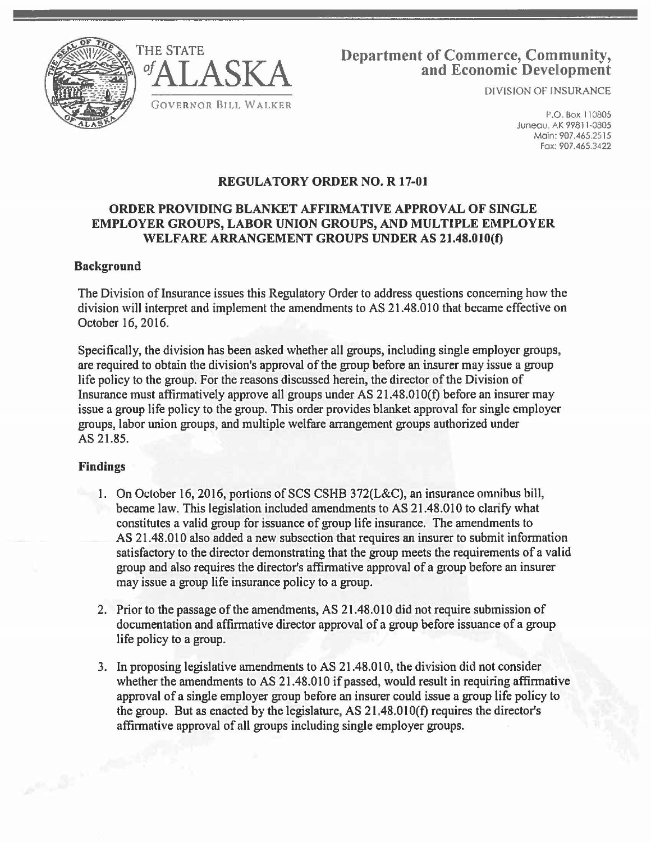



# Department of Commerce, Community, and Economic Development

DIVISION OF INSURANCE

P.O. Box 110805 Juneau, AK 99811-0805 Main: 907.465.2515 Fox: 907.465.3422

# REGULATORY ORDER NO. R 17-01

## ORDER PROVIDING BLANKET AFFIRMATIVE APPROVAL OF SINGLE EMPLOYER GROUPS, LABOR UNION GROUPS, AND MULTIPLE EMPLOYER WELFARE ARRANGEMENT GROUPS UNDER AS 21.48.010(f)

#### Background

The Division of Insurance issues this Regulatory Order to address questions concerning how the division will interpret and implement the amendments to AS 21.48.010 that became effective on October 16, 2016.

Specifically, the division has been asked whether all groups, including single employer groups, are required to obtain the division's approval of the group before an insurer may issue a group life policy to the group. For the reasons discussed herein, the director of the Division of Insurance must affirmatively approve all groups under AS 21.48.0lO(f) before an insurer may issue a group life policy to the group. This order provides blanket approval for single employer groups, labor union groups, and multiple welfare arrangement groups authorized under AS 21.85.

## Findings

المصر المرتبي

- 1. On October 16, 2016, portions of SCS CSHB 372(L&C), an insurance omnibus bill, became law. This legislation included amendments to AS 21.48.010 to clarify what constitutes a valid group for issuance of group life insurance. The amendments to AS 21.48.010 also added a new subsection that requires an insurer to submit information satisfactory to the director demonstrating that the group meets the requirements of a valid group and also requires the director's affirmative approval of a group before an insurer may issue a group life insurance policy to a group.
- 2. Prior to the passage of the amendments, AS 21.48.010 did not require submission of documentation and affirmative director approval of a group before issuance of a group life policy to a group.
- 3. In proposing legislative amendments to AS 21.48.010, the division did not consider whether the amendments to AS 21.48.010 if passed, would result in requiring affirmative approval of a single employer group before an insurer could issue a group life policy to the group. But as enacted by the legislature, AS 21.48.01 O(f) requires the director's affirmative approval of all groups including single employer groups.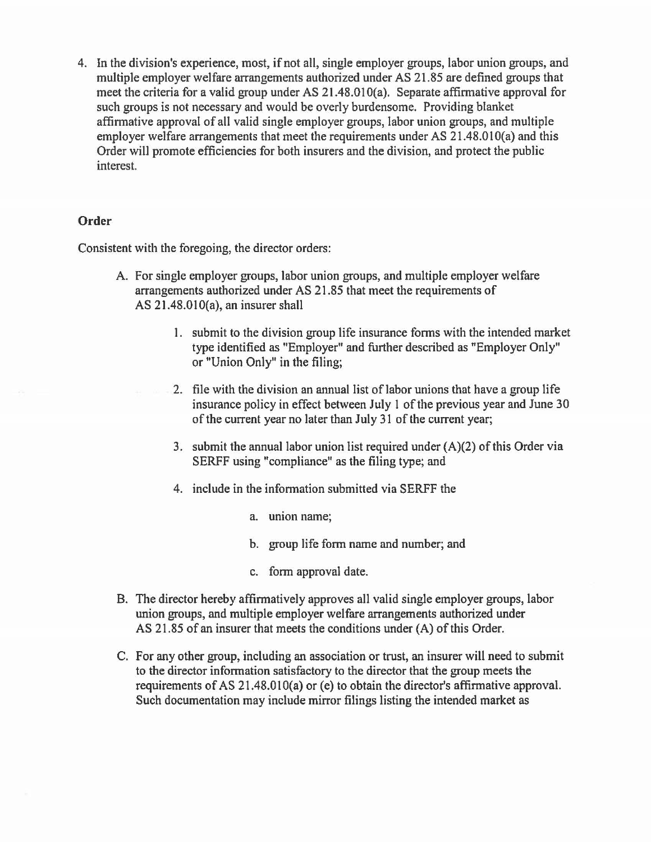4. In the division's experience, most, if not all, single employer groups, labor union groups, and multiple employer welfare arrangements authorized under AS 21.85 are defined groups that meet the criteria for a valid group under AS 21.48.010(a). Separate affirmative approval for such groups is not necessary and would be overly burdensome. Providing blanket affirmative approval of all valid single employer groups, labor union groups, and multiple employer welfare arrangements that meet the requirements under AS 21.48.010(a) and this Order will promote efficiencies for both insurers and the division, and protect the public interest.

#### **Order**

Consistent with the foregoing, the director orders:

- A. For single employer groups, labor union groups, and multiple employer welfare arrangements authorized under AS 21.85 that meet the requirements of AS 21.48.010(a), an insurer shall
	- 1. submit to the division group life insurance forms with the intended market type identified as "Employer" and further described as "Employer Only" or "Union Only" in the filing;
	- 2. file with the division an annual list of labor unions that have a group life insurance policy in effect between July 1 of the previous year and June 30 of the current year no later than July 31 of the current year;
	- 3. submit the annual labor union list required under (A)(2) of this Order via SERFF using "compliance" as the filing type; and
	- 4. include in the information submitted via SERFF the
		- a. union name;
		- b. group life form name and number; and
		- c. form approval date.
- B. The director hereby affirmatively approves all valid single employer groups, labor union groups, and multiple employer welfare arrangements authorized under AS 21.85 of an insurer that meets the conditions under (A) of this Order.
- C. For any other group, including an association or trust, an insurer will need to submit to the director information satisfactory to the director that the group meets the requirements of AS 21.48.010(a) or (e) to obtain the director's affirmative approval. Such documentation may include mirror filings listing the intended market as